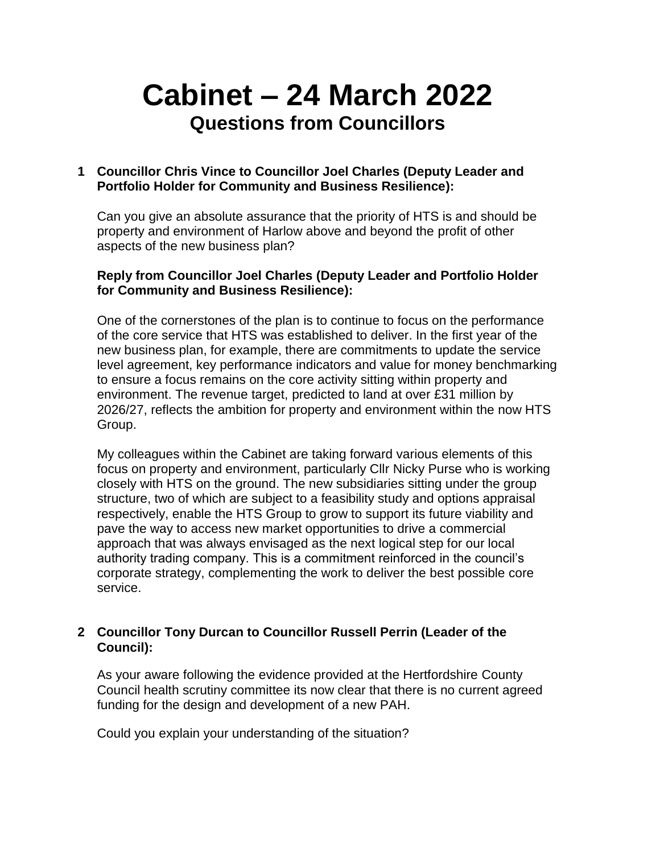# **Cabinet – 24 March 2022 Questions from Councillors**

## **1 Councillor Chris Vince to Councillor Joel Charles (Deputy Leader and Portfolio Holder for Community and Business Resilience):**

Can you give an absolute assurance that the priority of HTS is and should be property and environment of Harlow above and beyond the profit of other aspects of the new business plan?

### **Reply from Councillor Joel Charles (Deputy Leader and Portfolio Holder for Community and Business Resilience):**

One of the cornerstones of the plan is to continue to focus on the performance of the core service that HTS was established to deliver. In the first year of the new business plan, for example, there are commitments to update the service level agreement, key performance indicators and value for money benchmarking to ensure a focus remains on the core activity sitting within property and environment. The revenue target, predicted to land at over £31 million by 2026/27, reflects the ambition for property and environment within the now HTS Group.

My colleagues within the Cabinet are taking forward various elements of this focus on property and environment, particularly Cllr Nicky Purse who is working closely with HTS on the ground. The new subsidiaries sitting under the group structure, two of which are subject to a feasibility study and options appraisal respectively, enable the HTS Group to grow to support its future viability and pave the way to access new market opportunities to drive a commercial approach that was always envisaged as the next logical step for our local authority trading company. This is a commitment reinforced in the council's corporate strategy, complementing the work to deliver the best possible core service.

## **2 Councillor Tony Durcan to Councillor Russell Perrin (Leader of the Council):**

As your aware following the evidence provided at the Hertfordshire County Council health scrutiny committee its now clear that there is no current agreed funding for the design and development of a new PAH.

Could you explain your understanding of the situation?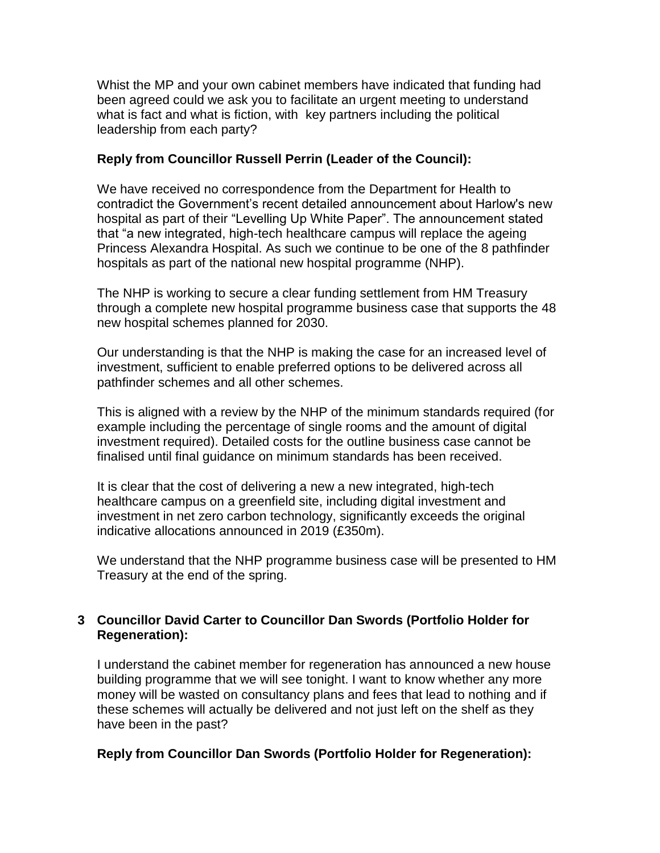Whist the MP and your own cabinet members have indicated that funding had been agreed could we ask you to facilitate an urgent meeting to understand what is fact and what is fiction, with key partners including the political leadership from each party?

## **Reply from Councillor Russell Perrin (Leader of the Council):**

We have received no correspondence from the Department for Health to contradict the Government's recent detailed announcement about Harlow's new hospital as part of their "Levelling Up White Paper". The announcement stated that "a new integrated, high-tech healthcare campus will replace the ageing Princess Alexandra Hospital. As such we continue to be one of the 8 pathfinder hospitals as part of the national new hospital programme (NHP).

The NHP is working to secure a clear funding settlement from HM Treasury through a complete new hospital programme business case that supports the 48 new hospital schemes planned for 2030.

Our understanding is that the NHP is making the case for an increased level of investment, sufficient to enable preferred options to be delivered across all pathfinder schemes and all other schemes.

This is aligned with a review by the NHP of the minimum standards required (for example including the percentage of single rooms and the amount of digital investment required). Detailed costs for the outline business case cannot be finalised until final guidance on minimum standards has been received.

It is clear that the cost of delivering a new a new integrated, high-tech healthcare campus on a greenfield site, including digital investment and investment in net zero carbon technology, significantly exceeds the original indicative allocations announced in 2019 (£350m).

We understand that the NHP programme business case will be presented to HM Treasury at the end of the spring.

## **3 Councillor David Carter to Councillor Dan Swords (Portfolio Holder for Regeneration):**

I understand the cabinet member for regeneration has announced a new house building programme that we will see tonight. I want to know whether any more money will be wasted on consultancy plans and fees that lead to nothing and if these schemes will actually be delivered and not just left on the shelf as they have been in the past?

### **Reply from Councillor Dan Swords (Portfolio Holder for Regeneration):**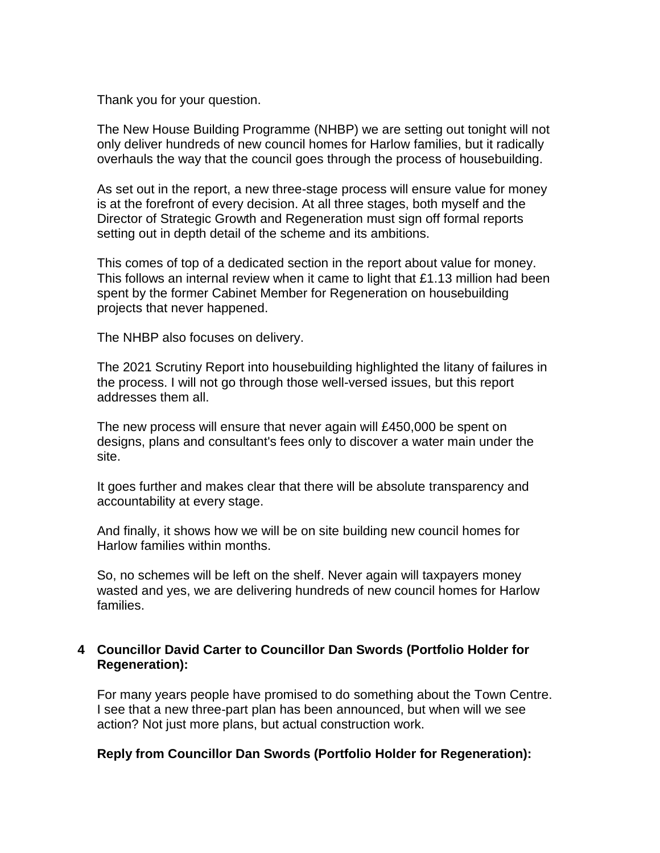Thank you for your question.

The New House Building Programme (NHBP) we are setting out tonight will not only deliver hundreds of new council homes for Harlow families, but it radically overhauls the way that the council goes through the process of housebuilding.

As set out in the report, a new three-stage process will ensure value for money is at the forefront of every decision. At all three stages, both myself and the Director of Strategic Growth and Regeneration must sign off formal reports setting out in depth detail of the scheme and its ambitions.

This comes of top of a dedicated section in the report about value for money. This follows an internal review when it came to light that £1.13 million had been spent by the former Cabinet Member for Regeneration on housebuilding projects that never happened.

The NHBP also focuses on delivery.

The 2021 Scrutiny Report into housebuilding highlighted the litany of failures in the process. I will not go through those well-versed issues, but this report addresses them all.

The new process will ensure that never again will £450,000 be spent on designs, plans and consultant's fees only to discover a water main under the site.

It goes further and makes clear that there will be absolute transparency and accountability at every stage.

And finally, it shows how we will be on site building new council homes for Harlow families within months.

So, no schemes will be left on the shelf. Never again will taxpayers money wasted and yes, we are delivering hundreds of new council homes for Harlow families.

### **4 Councillor David Carter to Councillor Dan Swords (Portfolio Holder for Regeneration):**

For many years people have promised to do something about the Town Centre. I see that a new three-part plan has been announced, but when will we see action? Not just more plans, but actual construction work.

### **Reply from Councillor Dan Swords (Portfolio Holder for Regeneration):**